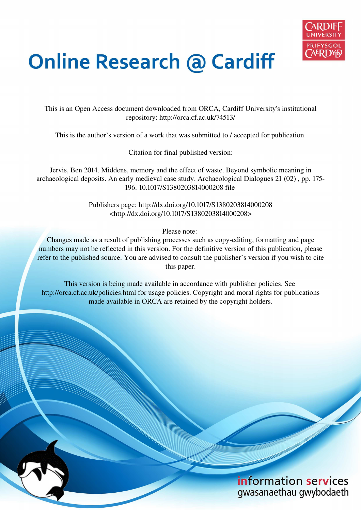

# **Online Research @ Cardiff**

This is an Open Access document downloaded from ORCA, Cardiff University's institutional repository: http://orca.cf.ac.uk/74513/

This is the author's version of a work that was submitted to / accepted for publication.

Citation for final published version:

Jervis, Ben 2014. Middens, memory and the effect of waste. Beyond symbolic meaning in archaeological deposits. An early medieval case study. Archaeological Dialogues 21 (02) , pp. 175- 196. 10.1017/S1380203814000208 file

> Publishers page: http://dx.doi.org/10.1017/S1380203814000208 <http://dx.doi.org/10.1017/S1380203814000208>

> > Please note:

Changes made as a result of publishing processes such as copy-editing, formatting and page numbers may not be reflected in this version. For the definitive version of this publication, please refer to the published source. You are advised to consult the publisher's version if you wish to cite this paper.

This version is being made available in accordance with publisher policies. See http://orca.cf.ac.uk/policies.html for usage policies. Copyright and moral rights for publications made available in ORCA are retained by the copyright holders.

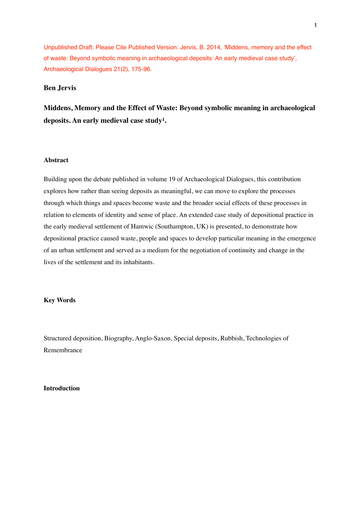Unpublished Draft: Please Cite Published Version: Jervis, B. 2014, Middens, memory and the effect of waste: Beyond symbolic meaning in archaeological deposits: An early medieval case study', Archaeological Dialogues 21(2), 175-96.

## **Ben Jervis**

**Middens, Memory and the Effect of Waste: Beyond symbolic meaning in archaeological**  deposits. An early medieval case study<sup>1</sup>.

### **Abstract**

Building upon the debate published in volume 19 of Archaeological Dialogues, this contribution explores how rather than seeing deposits as meaningful, we can move to explore the processes through which things and spaces become waste and the broader social effects of these processes in relation to elements of identity and sense of place. An extended case study of depositional practice in the early medieval settlement of Hamwic (Southampton, UK) is presented, to demonstrate how depositional practice caused waste, people and spaces to develop particular meaning in the emergence of an urban settlement and served as a medium for the negotiation of continuity and change in the lives of the settlement and its inhabitants.

#### **Key Words**

Structured deposition, Biography, Anglo-Saxon, Special deposits, Rubbish, Technologies of Remembrance

## **Introduction**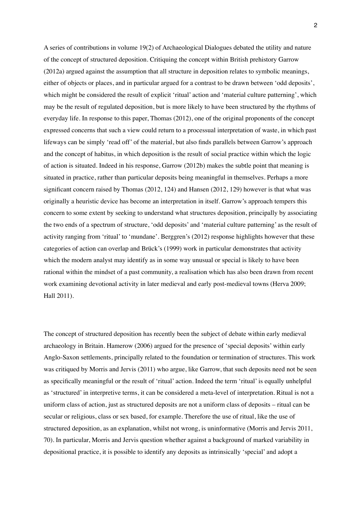A series of contributions in volume 19(2) of Archaeological Dialogues debated the utility and nature of the concept of structured deposition. Critiquing the concept within British prehistory Garrow (2012a) argued against the assumption that all structure in deposition relates to symbolic meanings, either of objects or places, and in particular argued for a contrast to be drawn between 'odd deposits', which might be considered the result of explicit 'ritual' action and 'material culture patterning', which may be the result of regulated deposition, but is more likely to have been structured by the rhythms of everyday life. In response to this paper, Thomas (2012), one of the original proponents of the concept expressed concerns that such a view could return to a processual interpretation of waste, in which past lifeways can be simply 'read off' of the material, but also finds parallels between Garrow's approach and the concept of habitus, in which deposition is the result of social practice within which the logic of action is situated. Indeed in his response, Garrow (2012b) makes the subtle point that meaning is situated in practice, rather than particular deposits being meaningful in themselves. Perhaps a more significant concern raised by Thomas  $(2012, 124)$  and Hansen  $(2012, 129)$  however is that what was originally a heuristic device has become an interpretation in itself. Garrowís approach tempers this concern to some extent by seeking to understand what structures deposition, principally by associating the two ends of a spectrum of structure, 'odd deposits' and 'material culture patterning' as the result of activity ranging from 'ritual' to 'mundane'. Berggren's (2012) response highlights however that these categories of action can overlap and Brück's (1999) work in particular demonstrates that activity which the modern analyst may identify as in some way unusual or special is likely to have been rational within the mindset of a past community, a realisation which has also been drawn from recent work examining devotional activity in later medieval and early post-medieval towns (Herva 2009; Hall 2011).

The concept of structured deposition has recently been the subject of debate within early medieval archaeology in Britain. Hamerow (2006) argued for the presence of 'special deposits' within early Anglo-Saxon settlements, principally related to the foundation or termination of structures. This work was critiqued by Morris and Jervis (2011) who argue, like Garrow, that such deposits need not be seen as specifically meaningful or the result of 'ritual' action. Indeed the term 'ritual' is equally unhelpful as 'structured' in interpretive terms, it can be considered a meta-level of interpretation. Ritual is not a uniform class of action, just as structured deposits are not a uniform class of deposits – ritual can be secular or religious, class or sex based, for example. Therefore the use of ritual, like the use of structured deposition, as an explanation, whilst not wrong, is uninformative (Morris and Jervis 2011, 70). In particular, Morris and Jervis question whether against a background of marked variability in depositional practice, it is possible to identify any deposits as intrinsically 'special' and adopt a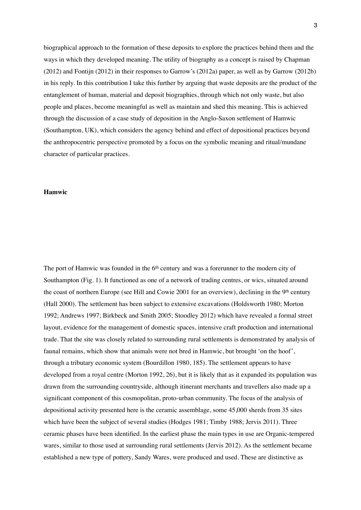biographical approach to the formation of these deposits to explore the practices behind them and the ways in which they developed meaning. The utility of biography as a concept is raised by Chapman  $(2012)$  and Fontijn  $(2012)$  in their responses to Garrow's  $(2012a)$  paper, as well as by Garrow  $(2012b)$ in his reply. In this contribution I take this further by arguing that waste deposits are the product of the entanglement of human, material and deposit biographies, through which not only waste, but also people and places, become meaningful as well as maintain and shed this meaning. This is achieved through the discussion of a case study of deposition in the Anglo-Saxon settlement of Hamwic (Southampton, UK), which considers the agency behind and effect of depositional practices beyond the anthropocentric perspective promoted by a focus on the symbolic meaning and ritual/mundane character of particular practices.

## **Hamwic**

The port of Hamwic was founded in the 6<sup>th</sup> century and was a forerunner to the modern city of Southampton (Fig. 1). It functioned as one of a network of trading centres, or wics, situated around the coast of northern Europe (see Hill and Cowie 2001 for an overview), declining in the 9<sup>th</sup> century (Hall 2000). The settlement has been subject to extensive excavations (Holdsworth 1980; Morton 1992; Andrews 1997; Birkbeck and Smith 2005; Stoodley 2012) which have revealed a formal street layout, evidence for the management of domestic spaces, intensive craft production and international trade. That the site was closely related to surrounding rural settlements is demonstrated by analysis of faunal remains, which show that animals were not bred in Hamwic, but brought 'on the hoof', through a tributary economic system (Bourdillon 1980, 185). The settlement appears to have developed from a royal centre (Morton 1992, 26), but it is likely that as it expanded its population was drawn from the surrounding countryside, although itinerant merchants and travellers also made up a significant component of this cosmopolitan, proto-urban community. The focus of the analysis of depositional activity presented here is the ceramic assemblage, some 45,000 sherds from 35 sites which have been the subject of several studies (Hodges 1981; Timby 1988; Jervis 2011). Three ceramic phases have been identified. In the earliest phase the main types in use are Organic-tempered wares, similar to those used at surrounding rural settlements (Jervis 2012). As the settlement became established a new type of pottery, Sandy Wares, were produced and used. These are distinctive as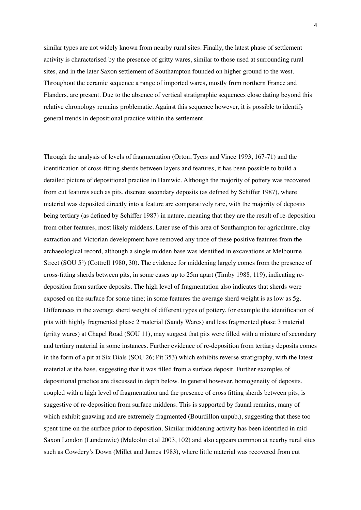similar types are not widely known from nearby rural sites. Finally, the latest phase of settlement activity is characterised by the presence of gritty wares, similar to those used at surrounding rural sites, and in the later Saxon settlement of Southampton founded on higher ground to the west. Throughout the ceramic sequence a range of imported wares, mostly from northern France and Flanders, are present. Due to the absence of vertical stratigraphic sequences close dating beyond this relative chronology remains problematic. Against this sequence however, it is possible to identify general trends in depositional practice within the settlement.

Through the analysis of levels of fragmentation (Orton, Tyers and Vince 1993, 167-71) and the identification of cross-fitting sherds between layers and features, it has been possible to build a detailed picture of depositional practice in Hamwic. Although the majority of pottery was recovered from cut features such as pits, discrete secondary deposits (as defined by Schiffer 1987), where material was deposited directly into a feature are comparatively rare, with the majority of deposits being tertiary (as defined by Schiffer 1987) in nature, meaning that they are the result of re-deposition from other features, most likely middens. Later use of this area of Southampton for agriculture, clay extraction and Victorian development have removed any trace of these positive features from the archaeological record, although a single midden base was identified in excavations at Melbourne Street (SOU  $5<sup>2</sup>$ ) (Cottrell 1980, 30). The evidence for middening largely comes from the presence of cross-Ætting sherds between pits, in some cases up to 25m apart (Timby 1988, 119), indicating redeposition from surface deposits. The high level of fragmentation also indicates that sherds were exposed on the surface for some time; in some features the average sherd weight is as low as 5g. Differences in the average sherd weight of different types of pottery, for example the identification of pits with highly fragmented phase 2 material (Sandy Wares) and less fragmented phase 3 material (gritty wares) at Chapel Road (SOU 11), may suggest that pits were filled with a mixture of secondary and tertiary material in some instances. Further evidence of re-deposition from tertiary deposits comes in the form of a pit at Six Dials (SOU 26; Pit 353) which exhibits reverse stratigraphy, with the latest material at the base, suggesting that it was filled from a surface deposit. Further examples of depositional practice are discussed in depth below. In general however, homogeneity of deposits, coupled with a high level of fragmentation and the presence of cross fitting sherds between pits, is suggestive of re-deposition from surface middens. This is supported by faunal remains, many of which exhibit gnawing and are extremely fragmented (Bourdillon unpub.), suggesting that these too spent time on the surface prior to deposition. Similar middening activity has been identified in mid-Saxon London (Lundenwic) (Malcolm et al 2003, 102) and also appears common at nearby rural sites such as Cowdery's Down (Millet and James 1983), where little material was recovered from cut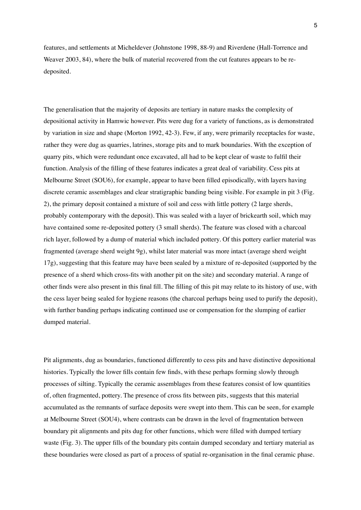features, and settlements at Micheldever (Johnstone 1998, 88-9) and Riverdene (Hall-Torrence and Weaver 2003, 84), where the bulk of material recovered from the cut features appears to be redeposited.

The generalisation that the majority of deposits are tertiary in nature masks the complexity of depositional activity in Hamwic however. Pits were dug for a variety of functions, as is demonstrated by variation in size and shape (Morton 1992, 42-3). Few, if any, were primarily receptacles for waste, rather they were dug as quarries, latrines, storage pits and to mark boundaries. With the exception of quarry pits, which were redundant once excavated, all had to be kept clear of waste to fulfil their function. Analysis of the filling of these features indicates a great deal of variability. Cess pits at Melbourne Street (SOU6), for example, appear to have been filled episodically, with layers having discrete ceramic assemblages and clear stratigraphic banding being visible. For example in pit 3 (Fig. 2), the primary deposit contained a mixture of soil and cess with little pottery (2 large sherds, probably contemporary with the deposit). This was sealed with a layer of brickearth soil, which may have contained some re-deposited pottery (3 small sherds). The feature was closed with a charcoal rich layer, followed by a dump of material which included pottery. Of this pottery earlier material was fragmented (average sherd weight 9g), whilst later material was more intact (average sherd weight 17g), suggesting that this feature may have been sealed by a mixture of re-deposited (supported by the presence of a sherd which cross-Æts with another pit on the site) and secondary material. A range of other finds were also present in this final fill. The filling of this pit may relate to its history of use, with the cess layer being sealed for hygiene reasons (the charcoal perhaps being used to purify the deposit), with further banding perhaps indicating continued use or compensation for the slumping of earlier dumped material.

Pit alignments, dug as boundaries, functioned differently to cess pits and have distinctive depositional histories. Typically the lower fills contain few finds, with these perhaps forming slowly through processes of silting. Typically the ceramic assemblages from these features consist of low quantities of, often fragmented, pottery. The presence of cross Æts between pits, suggests that this material accumulated as the remnants of surface deposits were swept into them. This can be seen, for example at Melbourne Street (SOU4), where contrasts can be drawn in the level of fragmentation between boundary pit alignments and pits dug for other functions, which were filled with dumped tertiary waste (Fig. 3). The upper fills of the boundary pits contain dumped secondary and tertiary material as these boundaries were closed as part of a process of spatial re-organisation in the final ceramic phase.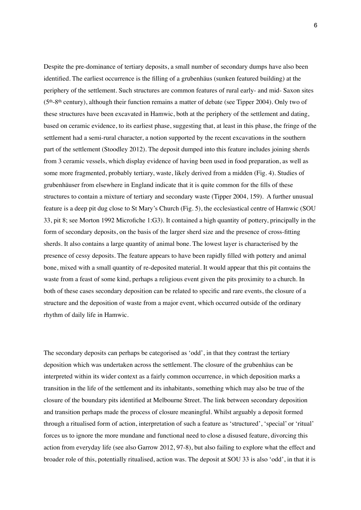Despite the pre-dominance of tertiary deposits, a small number of secondary dumps have also been identified. The earliest occurrence is the filling of a grubenhäus (sunken featured building) at the periphery of the settlement. Such structures are common features of rural early- and mid- Saxon sites (5th-8th century), although their function remains a matter of debate (see Tipper 2004). Only two of these structures have been excavated in Hamwic, both at the periphery of the settlement and dating, based on ceramic evidence, to its earliest phase, suggesting that, at least in this phase, the fringe of the settlement had a semi-rural character, a notion supported by the recent excavations in the southern part of the settlement (Stoodley 2012). The deposit dumped into this feature includes joining sherds from 3 ceramic vessels, which display evidence of having been used in food preparation, as well as some more fragmented, probably tertiary, waste, likely derived from a midden (Fig. 4). Studies of grubenhäuser from elsewhere in England indicate that it is quite common for the fills of these structures to contain a mixture of tertiary and secondary waste (Tipper 2004, 159). A further unusual feature is a deep pit dug close to St Maryís Church (Fig. 5), the ecclesiastical centre of Hamwic (SOU 33, pit 8; see Morton 1992 Microfiche 1:G3). It contained a high quantity of pottery, principally in the form of secondary deposits, on the basis of the larger sherd size and the presence of cross-fitting sherds. It also contains a large quantity of animal bone. The lowest layer is characterised by the presence of cessy deposits. The feature appears to have been rapidly Ælled with pottery and animal bone, mixed with a small quantity of re-deposited material. It would appear that this pit contains the waste from a feast of some kind, perhaps a religious event given the pits proximity to a church. In both of these cases secondary deposition can be related to specific and rare events, the closure of a structure and the deposition of waste from a major event, which occurred outside of the ordinary rhythm of daily life in Hamwic.

The secondary deposits can perhaps be categorised as 'odd', in that they contrast the tertiary deposition which was undertaken across the settlement. The closure of the grubenhäus can be interpreted within its wider context as a fairly common occurrence, in which deposition marks a transition in the life of the settlement and its inhabitants, something which may also be true of the closure of the boundary pits identified at Melbourne Street. The link between secondary deposition and transition perhaps made the process of closure meaningful. Whilst arguably a deposit formed through a ritualised form of action, interpretation of such a feature as 'structured', 'special' or 'ritual' forces us to ignore the more mundane and functional need to close a disused feature, divorcing this action from everyday life (see also Garrow 2012, 97-8), but also failing to explore what the effect and broader role of this, potentially ritualised, action was. The deposit at SOU 33 is also 'odd', in that it is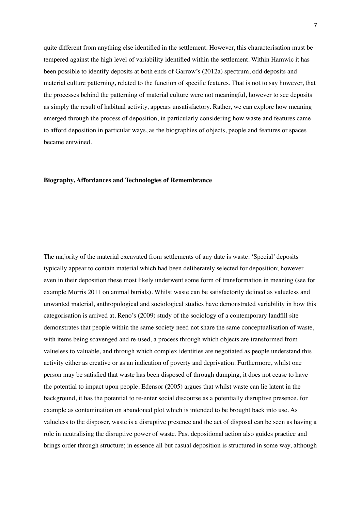quite different from anything else identified in the settlement. However, this characterisation must be tempered against the high level of variability identified within the settlement. Within Hamwic it has been possible to identify deposits at both ends of Garrow's (2012a) spectrum, odd deposits and material culture patterning, related to the function of specific features. That is not to say however, that the processes behind the patterning of material culture were not meaningful, however to see deposits as simply the result of habitual activity, appears unsatisfactory. Rather, we can explore how meaning emerged through the process of deposition, in particularly considering how waste and features came to afford deposition in particular ways, as the biographies of objects, people and features or spaces became entwined.

#### **Biography, Affordances and Technologies of Remembrance**

The majority of the material excavated from settlements of any date is waste. 'Special' deposits typically appear to contain material which had been deliberately selected for deposition; however even in their deposition these most likely underwent some form of transformation in meaning (see for example Morris 2011 on animal burials). Whilst waste can be satisfactorily defined as valueless and unwanted material, anthropological and sociological studies have demonstrated variability in how this categorisation is arrived at. Reno's  $(2009)$  study of the sociology of a contemporary landfill site demonstrates that people within the same society need not share the same conceptualisation of waste, with items being scavenged and re-used, a process through which objects are transformed from valueless to valuable, and through which complex identities are negotiated as people understand this activity either as creative or as an indication of poverty and deprivation. Furthermore, whilst one person may be satisfied that waste has been disposed of through dumping, it does not cease to have the potential to impact upon people. Edensor (2005) argues that whilst waste can lie latent in the background, it has the potential to re-enter social discourse as a potentially disruptive presence, for example as contamination on abandoned plot which is intended to be brought back into use. As valueless to the disposer, waste is a disruptive presence and the act of disposal can be seen as having a role in neutralising the disruptive power of waste. Past depositional action also guides practice and brings order through structure; in essence all but casual deposition is structured in some way, although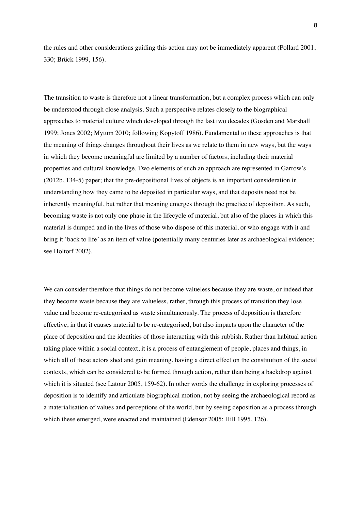the rules and other considerations guiding this action may not be immediately apparent (Pollard 2001, 330; Brück 1999, 156).

The transition to waste is therefore not a linear transformation, but a complex process which can only be understood through close analysis. Such a perspective relates closely to the biographical approaches to material culture which developed through the last two decades (Gosden and Marshall 1999; Jones 2002; Mytum 2010; following Kopytoff 1986). Fundamental to these approaches is that the meaning of things changes throughout their lives as we relate to them in new ways, but the ways in which they become meaningful are limited by a number of factors, including their material properties and cultural knowledge. Two elements of such an approach are represented in Garrow's (2012b, 134-5) paper; that the pre-depositional lives of objects is an important consideration in understanding how they came to be deposited in particular ways, and that deposits need not be inherently meaningful, but rather that meaning emerges through the practice of deposition. As such, becoming waste is not only one phase in the lifecycle of material, but also of the places in which this material is dumped and in the lives of those who dispose of this material, or who engage with it and bring it 'back to life' as an item of value (potentially many centuries later as archaeological evidence; see Holtorf 2002).

We can consider therefore that things do not become valueless because they are waste, or indeed that they become waste because they are valueless, rather, through this process of transition they lose value and become re-categorised as waste simultaneously. The process of deposition is therefore effective, in that it causes material to be re-categorised, but also impacts upon the character of the place of deposition and the identities of those interacting with this rubbish. Rather than habitual action taking place within a social context, it is a process of entanglement of people, places and things, in which all of these actors shed and gain meaning, having a direct effect on the constitution of the social contexts, which can be considered to be formed through action, rather than being a backdrop against which it is situated (see Latour 2005, 159-62). In other words the challenge in exploring processes of deposition is to identify and articulate biographical motion, not by seeing the archaeological record as a materialisation of values and perceptions of the world, but by seeing deposition as a process through which these emerged, were enacted and maintained (Edensor 2005; Hill 1995, 126).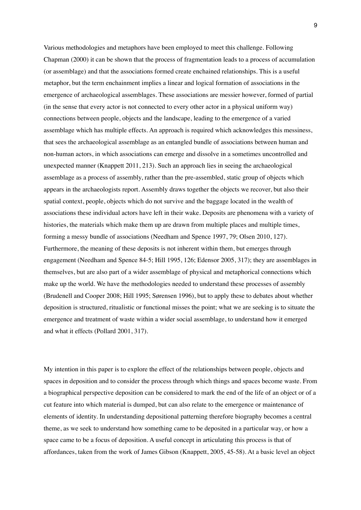Various methodologies and metaphors have been employed to meet this challenge. Following Chapman (2000) it can be shown that the process of fragmentation leads to a process of accumulation (or assemblage) and that the associations formed create enchained relationships. This is a useful metaphor, but the term enchainment implies a linear and logical formation of associations in the emergence of archaeological assemblages. These associations are messier however, formed of partial (in the sense that every actor is not connected to every other actor in a physical uniform way) connections between people, objects and the landscape, leading to the emergence of a varied assemblage which has multiple effects. An approach is required which acknowledges this messiness, that sees the archaeological assemblage as an entangled bundle of associations between human and non-human actors, in which associations can emerge and dissolve in a sometimes uncontrolled and unexpected manner (Knappett 2011, 213). Such an approach lies in seeing the archaeological assemblage as a process of assembly, rather than the pre-assembled, static group of objects which appears in the archaeologists report. Assembly draws together the objects we recover, but also their spatial context, people, objects which do not survive and the baggage located in the wealth of associations these individual actors have left in their wake. Deposits are phenomena with a variety of histories, the materials which make them up are drawn from multiple places and multiple times, forming a messy bundle of associations (Needham and Spence 1997, 79; Olsen 2010, 127). Furthermore, the meaning of these deposits is not inherent within them, but emerges through engagement (Needham and Spence 84-5; Hill 1995, 126; Edensor 2005, 317); they are assemblages in themselves, but are also part of a wider assemblage of physical and metaphorical connections which make up the world. We have the methodologies needed to understand these processes of assembly (Brudenell and Cooper 2008; Hill 1995; Sørensen 1996), but to apply these to debates about whether deposition is structured, ritualistic or functional misses the point; what we are seeking is to situate the emergence and treatment of waste within a wider social assemblage, to understand how it emerged and what it effects (Pollard 2001, 317).

My intention in this paper is to explore the effect of the relationships between people, objects and spaces in deposition and to consider the process through which things and spaces become waste. From a biographical perspective deposition can be considered to mark the end of the life of an object or of a cut feature into which material is dumped, but can also relate to the emergence or maintenance of elements of identity. In understanding depositional patterning therefore biography becomes a central theme, as we seek to understand how something came to be deposited in a particular way, or how a space came to be a focus of deposition. A useful concept in articulating this process is that of affordances, taken from the work of James Gibson (Knappett, 2005, 45-58). At a basic level an object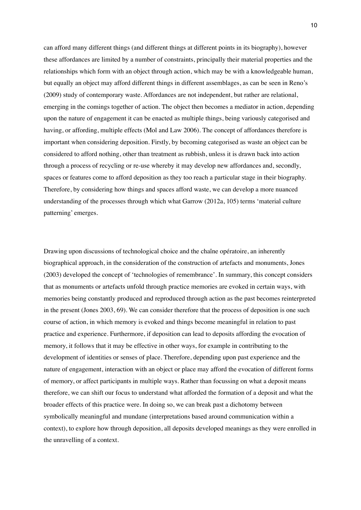can afford many different things (and different things at different points in its biography), however these affordances are limited by a number of constraints, principally their material properties and the relationships which form with an object through action, which may be with a knowledgeable human, but equally an object may afford different things in different assemblages, as can be seen in Renoís (2009) study of contemporary waste. Affordances are not independent, but rather are relational, emerging in the comings together of action. The object then becomes a mediator in action, depending upon the nature of engagement it can be enacted as multiple things, being variously categorised and having, or affording, multiple effects (Mol and Law 2006). The concept of affordances therefore is important when considering deposition. Firstly, by becoming categorised as waste an object can be considered to afford nothing, other than treatment as rubbish, unless it is drawn back into action through a process of recycling or re-use whereby it may develop new affordances and, secondly, spaces or features come to afford deposition as they too reach a particular stage in their biography. Therefore, by considering how things and spaces afford waste, we can develop a more nuanced understanding of the processes through which what Garrow (2012a, 105) terms ëmaterial culture patterning' emerges.

Drawing upon discussions of technological choice and the chaîne opératoire, an inherently biographical approach, in the consideration of the construction of artefacts and monuments, Jones (2003) developed the concept of 'technologies of remembrance'. In summary, this concept considers that as monuments or artefacts unfold through practice memories are evoked in certain ways, with memories being constantly produced and reproduced through action as the past becomes reinterpreted in the present (Jones 2003, 69). We can consider therefore that the process of deposition is one such course of action, in which memory is evoked and things become meaningful in relation to past practice and experience. Furthermore, if deposition can lead to deposits affording the evocation of memory, it follows that it may be effective in other ways, for example in contributing to the development of identities or senses of place. Therefore, depending upon past experience and the nature of engagement, interaction with an object or place may afford the evocation of different forms of memory, or affect participants in multiple ways. Rather than focussing on what a deposit means therefore, we can shift our focus to understand what afforded the formation of a deposit and what the broader effects of this practice were. In doing so, we can break past a dichotomy between symbolically meaningful and mundane (interpretations based around communication within a context), to explore how through deposition, all deposits developed meanings as they were enrolled in the unravelling of a context.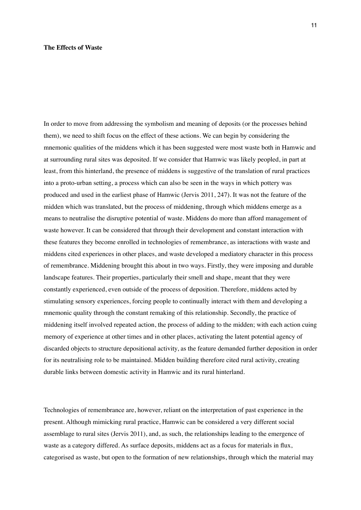#### **The Effects of Waste**

In order to move from addressing the symbolism and meaning of deposits (or the processes behind them), we need to shift focus on the effect of these actions. We can begin by considering the mnemonic qualities of the middens which it has been suggested were most waste both in Hamwic and at surrounding rural sites was deposited. If we consider that Hamwic was likely peopled, in part at least, from this hinterland, the presence of middens is suggestive of the translation of rural practices into a proto-urban setting, a process which can also be seen in the ways in which pottery was produced and used in the earliest phase of Hamwic (Jervis 2011, 247). It was not the feature of the midden which was translated, but the process of middening, through which middens emerge as a means to neutralise the disruptive potential of waste. Middens do more than afford management of waste however. It can be considered that through their development and constant interaction with these features they become enrolled in technologies of remembrance, as interactions with waste and middens cited experiences in other places, and waste developed a mediatory character in this process of remembrance. Middening brought this about in two ways. Firstly, they were imposing and durable landscape features. Their properties, particularly their smell and shape, meant that they were constantly experienced, even outside of the process of deposition. Therefore, middens acted by stimulating sensory experiences, forcing people to continually interact with them and developing a mnemonic quality through the constant remaking of this relationship. Secondly, the practice of middening itself involved repeated action, the process of adding to the midden; with each action cuing memory of experience at other times and in other places, activating the latent potential agency of discarded objects to structure depositional activity, as the feature demanded further deposition in order for its neutralising role to be maintained. Midden building therefore cited rural activity, creating durable links between domestic activity in Hamwic and its rural hinterland.

Technologies of remembrance are, however, reliant on the interpretation of past experience in the present. Although mimicking rural practice, Hamwic can be considered a very different social assemblage to rural sites (Jervis 2011), and, as such, the relationships leading to the emergence of waste as a category differed. As surface deposits, middens act as a focus for materials in flux, categorised as waste, but open to the formation of new relationships, through which the material may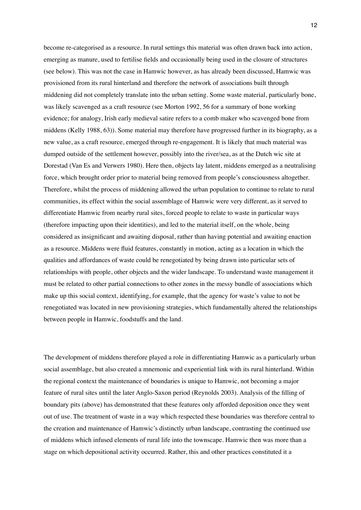become re-categorised as a resource. In rural settings this material was often drawn back into action, emerging as manure, used to fertilise fields and occasionally being used in the closure of structures (see below). This was not the case in Hamwic however, as has already been discussed, Hamwic was provisioned from its rural hinterland and therefore the network of associations built through middening did not completely translate into the urban setting. Some waste material, particularly bone, was likely scavenged as a craft resource (see Morton 1992, 56 for a summary of bone working evidence; for analogy, Irish early medieval satire refers to a comb maker who scavenged bone from middens (Kelly 1988, 63)). Some material may therefore have progressed further in its biography, as a new value, as a craft resource, emerged through re-engagement. It is likely that much material was dumped outside of the settlement however, possibly into the river/sea, as at the Dutch wic site at Dorestad (Van Es and Verwers 1980). Here then, objects lay latent, middens emerged as a neutralising force, which brought order prior to material being removed from people's consciousness altogether. Therefore, whilst the process of middening allowed the urban population to continue to relate to rural communities, its effect within the social assemblage of Hamwic were very different, as it served to differentiate Hamwic from nearby rural sites, forced people to relate to waste in particular ways (therefore impacting upon their identities), and led to the material itself, on the whole, being considered as insignificant and awaiting disposal, rather than having potential and awaiting enaction as a resource. Middens were fluid features, constantly in motion, acting as a location in which the qualities and affordances of waste could be renegotiated by being drawn into particular sets of relationships with people, other objects and the wider landscape. To understand waste management it must be related to other partial connections to other zones in the messy bundle of associations which make up this social context, identifying, for example, that the agency for waste's value to not be renegotiated was located in new provisioning strategies, which fundamentally altered the relationships between people in Hamwic, foodstuffs and the land.

The development of middens therefore played a role in differentiating Hamwic as a particularly urban social assemblage, but also created a mnemonic and experiential link with its rural hinterland. Within the regional context the maintenance of boundaries is unique to Hamwic, not becoming a major feature of rural sites until the later Anglo-Saxon period (Reynolds 2003). Analysis of the filling of boundary pits (above) has demonstrated that these features only afforded deposition once they went out of use. The treatment of waste in a way which respected these boundaries was therefore central to the creation and maintenance of Hamwic's distinctly urban landscape, contrasting the continued use of middens which infused elements of rural life into the townscape. Hamwic then was more than a stage on which depositional activity occurred. Rather, this and other practices constituted it a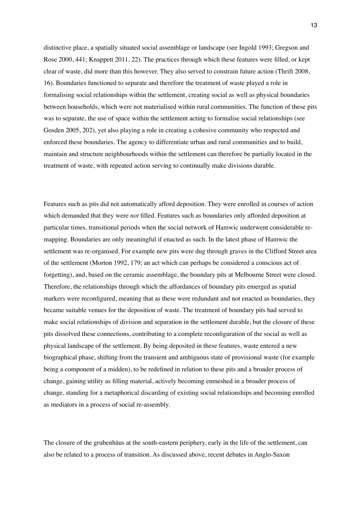distinctive place, a spatially situated social assemblage or landscape (see Ingold 1993; Gregson and Rose  $2000, 441$ ; Knappett  $2011, 22$ ). The practices through which these features were filled, or kept clear of waste, did more than this however. They also served to constrain future action (Thrift 2008, 16). Boundaries functioned to separate and therefore the treatment of waste played a role in formalising social relationships within the settlement, creating social as well as physical boundaries between households, which were not materialised within rural communities. The function of these pits was to separate, the use of space within the settlement acting to formalise social relationships (see Gosden 2005, 202), yet also playing a role in creating a cohesive community who respected and enforced these boundaries. The agency to differentiate urban and rural communities and to build, maintain and structure neighbourhoods within the settlement can therefore be partially located in the treatment of waste, with repeated action serving to continually make divisions durable.

Features such as pits did not automatically afford deposition. They were enrolled in courses of action which demanded that they were *not* filled. Features such as boundaries only afforded deposition at particular times, transitional periods when the social network of Hamwic underwent considerable remapping. Boundaries are only meaningful if enacted as such. In the latest phase of Hamwic the settlement was re-organised. For example new pits were dug through graves in the Clifford Street area of the settlement (Morton 1992, 179; an act which can perhaps be considered a conscious act of forgetting), and, based on the ceramic assemblage, the boundary pits at Melbourne Street were closed. Therefore, the relationships through which the affordances of boundary pits emerged as spatial markers were reconfigured, meaning that as these were redundant and not enacted as boundaries, they became suitable venues for the deposition of waste. The treatment of boundary pits had served to make social relationships of division and separation in the settlement durable, but the closure of these pits dissolved these connections, contributing to a complete reconfiguration of the social as well as physical landscape of the settlement. By being deposited in these features, waste entered a new biographical phase, shifting from the transient and ambiguous state of provisional waste (for example being a component of a midden), to be redefined in relation to these pits and a broader process of change, gaining utility as filling material, actively becoming enmeshed in a broader process of change, standing for a metaphorical discarding of existing social relationships and becoming enrolled as mediators in a process of social re-assembly.

The closure of the grubenhäus at the south-eastern periphery, early in the life of the settlement, can also be related to a process of transition. As discussed above, recent debates in Anglo-Saxon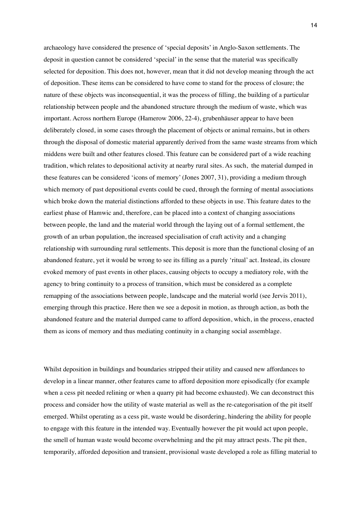archaeology have considered the presence of 'special deposits' in Anglo-Saxon settlements. The deposit in question cannot be considered 'special' in the sense that the material was specifically selected for deposition. This does not, however, mean that it did not develop meaning through the act of deposition. These items can be considered to have come to stand for the process of closure; the nature of these objects was inconsequential, it was the process of filling, the building of a particular relationship between people and the abandoned structure through the medium of waste, which was important. Across northern Europe (Hamerow 2006, 22-4), grubenhäuser appear to have been deliberately closed, in some cases through the placement of objects or animal remains, but in others through the disposal of domestic material apparently derived from the same waste streams from which middens were built and other features closed. This feature can be considered part of a wide reaching tradition, which relates to depositional activity at nearby rural sites. As such, the material dumped in these features can be considered ëicons of memoryí (Jones 2007, 31), providing a medium through which memory of past depositional events could be cued, through the forming of mental associations which broke down the material distinctions afforded to these objects in use. This feature dates to the earliest phase of Hamwic and, therefore, can be placed into a context of changing associations between people, the land and the material world through the laying out of a formal settlement, the growth of an urban population, the increased specialisation of craft activity and a changing relationship with surrounding rural settlements. This deposit is more than the functional closing of an abandoned feature, yet it would be wrong to see its filling as a purely 'ritual' act. Instead, its closure evoked memory of past events in other places, causing objects to occupy a mediatory role, with the agency to bring continuity to a process of transition, which must be considered as a complete remapping of the associations between people, landscape and the material world (see Jervis 2011), emerging through this practice. Here then we see a deposit in motion, as through action, as both the abandoned feature and the material dumped came to afford deposition, which, in the process, enacted them as icons of memory and thus mediating continuity in a changing social assemblage.

Whilst deposition in buildings and boundaries stripped their utility and caused new affordances to develop in a linear manner, other features came to afford deposition more episodically (for example when a cess pit needed relining or when a quarry pit had become exhausted). We can deconstruct this process and consider how the utility of waste material as well as the re-categorisation of the pit itself emerged. Whilst operating as a cess pit, waste would be disordering, hindering the ability for people to engage with this feature in the intended way. Eventually however the pit would act upon people, the smell of human waste would become overwhelming and the pit may attract pests. The pit then, temporarily, afforded deposition and transient, provisional waste developed a role as filling material to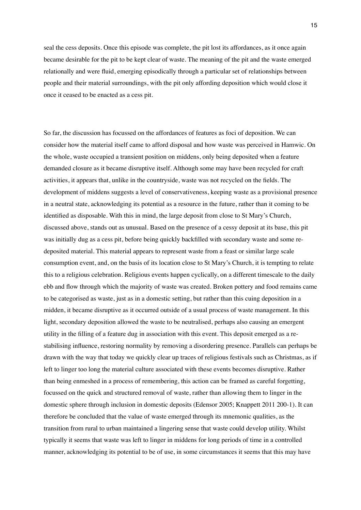seal the cess deposits. Once this episode was complete, the pit lost its affordances, as it once again became desirable for the pit to be kept clear of waste. The meaning of the pit and the waste emerged relationally and were fluid, emerging episodically through a particular set of relationships between people and their material surroundings, with the pit only affording deposition which would close it once it ceased to be enacted as a cess pit.

So far, the discussion has focussed on the affordances of features as foci of deposition. We can consider how the material itself came to afford disposal and how waste was perceived in Hamwic. On the whole, waste occupied a transient position on middens, only being deposited when a feature demanded closure as it became disruptive itself. Although some may have been recycled for craft activities, it appears that, unlike in the countryside, waste was not recycled on the fields. The development of middens suggests a level of conservativeness, keeping waste as a provisional presence in a neutral state, acknowledging its potential as a resource in the future, rather than it coming to be identified as disposable. With this in mind, the large deposit from close to St Mary's Church, discussed above, stands out as unusual. Based on the presence of a cessy deposit at its base, this pit was initially dug as a cess pit, before being quickly backfilled with secondary waste and some redeposited material. This material appears to represent waste from a feast or similar large scale consumption event, and, on the basis of its location close to St Maryís Church, it is tempting to relate this to a religious celebration. Religious events happen cyclically, on a different timescale to the daily ebb and flow through which the majority of waste was created. Broken pottery and food remains came to be categorised as waste, just as in a domestic setting, but rather than this cuing deposition in a midden, it became disruptive as it occurred outside of a usual process of waste management. In this light, secondary deposition allowed the waste to be neutralised, perhaps also causing an emergent utility in the filling of a feature dug in association with this event. This deposit emerged as a restabilising influence, restoring normality by removing a disordering presence. Parallels can perhaps be drawn with the way that today we quickly clear up traces of religious festivals such as Christmas, as if left to linger too long the material culture associated with these events becomes disruptive. Rather than being enmeshed in a process of remembering, this action can be framed as careful forgetting, focussed on the quick and structured removal of waste, rather than allowing them to linger in the domestic sphere through inclusion in domestic deposits (Edensor 2005; Knappett 2011 200-1). It can therefore be concluded that the value of waste emerged through its mnemonic qualities, as the transition from rural to urban maintained a lingering sense that waste could develop utility. Whilst typically it seems that waste was left to linger in middens for long periods of time in a controlled manner, acknowledging its potential to be of use, in some circumstances it seems that this may have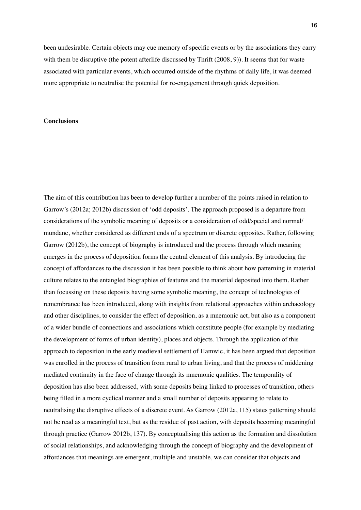been undesirable. Certain objects may cue memory of specific events or by the associations they carry with them be disruptive (the potent afterlife discussed by Thrift (2008, 9)). It seems that for waste associated with particular events, which occurred outside of the rhythms of daily life, it was deemed more appropriate to neutralise the potential for re-engagement through quick deposition.

## **Conclusions**

The aim of this contribution has been to develop further a number of the points raised in relation to Garrow's (2012a; 2012b) discussion of 'odd deposits'. The approach proposed is a departure from considerations of the symbolic meaning of deposits or a consideration of odd/special and normal/ mundane, whether considered as different ends of a spectrum or discrete opposites. Rather, following Garrow (2012b), the concept of biography is introduced and the process through which meaning emerges in the process of deposition forms the central element of this analysis. By introducing the concept of affordances to the discussion it has been possible to think about how patterning in material culture relates to the entangled biographies of features and the material deposited into them. Rather than focussing on these deposits having some symbolic meaning, the concept of technologies of remembrance has been introduced, along with insights from relational approaches within archaeology and other disciplines, to consider the effect of deposition, as a mnemonic act, but also as a component of a wider bundle of connections and associations which constitute people (for example by mediating the development of forms of urban identity), places and objects. Through the application of this approach to deposition in the early medieval settlement of Hamwic, it has been argued that deposition was enrolled in the process of transition from rural to urban living, and that the process of middening mediated continuity in the face of change through its mnemonic qualities. The temporality of deposition has also been addressed, with some deposits being linked to processes of transition, others being filled in a more cyclical manner and a small number of deposits appearing to relate to neutralising the disruptive effects of a discrete event. As Garrow (2012a, 115) states patterning should not be read as a meaningful text, but as the residue of past action, with deposits becoming meaningful through practice (Garrow 2012b, 137). By conceptualising this action as the formation and dissolution of social relationships, and acknowledging through the concept of biography and the development of affordances that meanings are emergent, multiple and unstable, we can consider that objects and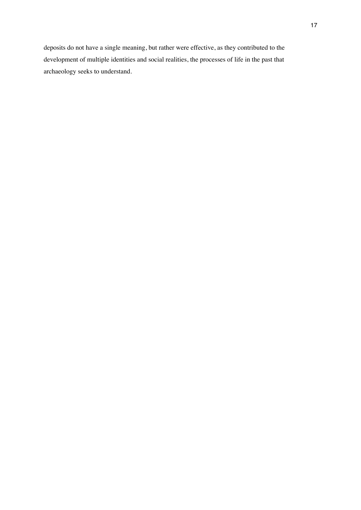deposits do not have a single meaning, but rather were effective, as they contributed to the development of multiple identities and social realities, the processes of life in the past that archaeology seeks to understand.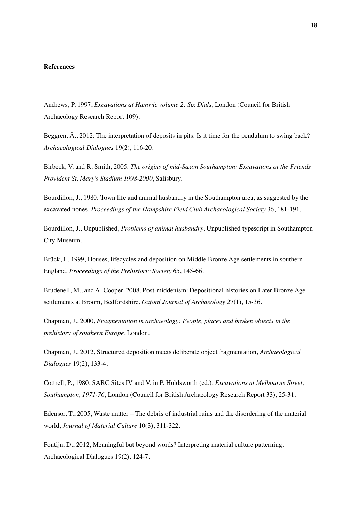#### **References**

Andrews, P. 1997, *Excavations at Hamwic volume 2: Six Dials*, London (Council for British Archaeology Research Report 109).

Beggren, Å., 2012: The interpretation of deposits in pits: Is it time for the pendulum to swing back? *Archaeological Dialogues* 19(2), 116-20.

Birbeck, V. and R. Smith, 2005: *The origins of mid-Saxon Southampton: Excavations at the Friends Provident St. Maryís Stadium 1998-2000*, Salisbury.

Bourdillon, J., 1980: Town life and animal husbandry in the Southampton area, as suggested by the excavated nones, *Proceedings of the Hampshire Field Club Archaeological Society* 36, 181-191.

Bourdillon, J., Unpublished, *Problems of animal husbandry*. Unpublished typescript in Southampton City Museum.

Brück, J., 1999, Houses, lifecycles and deposition on Middle Bronze Age settlements in southern England, *Proceedings of the Prehistoric Society* 65, 145-66.

Brudenell, M., and A. Cooper, 2008, Post-middenism: Depositional histories on Later Bronze Age settlements at Broom, Bedfordshire, *Oxford Journal of Archaeology* 27(1), 15-36.

Chapman, J., 2000, *Fragmentation in archaeology: People, places and broken objects in the prehistory of southern Europe*, London.

Chapman, J., 2012, Structured deposition meets deliberate object fragmentation, *Archaeological Dialogues* 19(2), 133-4.

Cottrell, P., 1980, SARC Sites IV and V, in P. Holdsworth (ed.), *Excavations at Melbourne Street, Southampton, 1971-76*, London (Council for British Archaeology Research Report 33), 25-31.

Edensor, T., 2005, Waste matter  $-$  The debris of industrial ruins and the disordering of the material world, *Journal of Material Culture* 10(3), 311-322.

Fontijn, D., 2012, Meaningful but beyond words? Interpreting material culture patterning, Archaeological Dialogues 19(2), 124-7.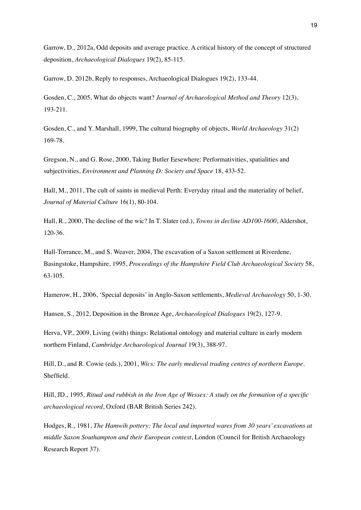Garrow, D., 2012a, Odd deposits and average practice. A critical history of the concept of structured deposition, *Archaeological Dialogues* 19(2), 85-115.

Garrow, D. 2012b, Reply to responses, Archaeological Dialogues 19(2), 133-44.

Gosden, C., 2005, What do objects want? *Journal of Archaeological Method and Theory* 12(3), 193-211.

Gosden, C., and Y. Marshall, 1999, The cultural biography of objects, *World Archaeology* 31(2) 169-78.

Gregson, N., and G. Rose, 2000, Taking Butler Eesewhere: Performativities, spatialities and subjectivities, *Environment and Planning D: Society and Space* 18, 433-52.

Hall, M., 2011, The cult of saints in medieval Perth: Everyday ritual and the materiality of belief, *Journal of Material Culture* 16(1), 80-104.

Hall, R., 2000, The decline of the wic? In T. Slater (ed.), *Towns in decline AD100-1600*, Aldershot, 120-36.

Hall-Torrance, M., and S. Weaver, 2004, The excavation of a Saxon settlement at Riverdene, Basingstoke, Hampshire, 1995, *Proceedings of the Hampshire Field Club Archaeological Society* 58, 63-105.

Hamerow, H., 2006, 'Special deposits' in Anglo-Saxon settlements, *Medieval Archaeology* 50, 1-30.

Hansen, S., 2012, Deposition in the Bronze Age, *Archaeological Dialogues* 19(2), 127-9.

Herva, VP., 2009, Living (with) things: Relational ontology and material culture in early modern northern Finland, *Cambridge Archaeological Journal* 19(3), 388-97.

Hill, D., and R. Cowie (eds.), 2001, *Wics: The early medieval trading centres of northern Europe*. Sheffield.

Hill, JD., 1995, Ritual and rubbish in the Iron Age of Wessex: A study on the formation of a specific *archaeological record*, Oxford (BAR British Series 242).

Hodges, R., 1981, *The Hamwih pottery: The local and imported wares from 30 years' excavations at middle Saxon Southampton and their European context*, London (Council for British Archaeology Research Report 37).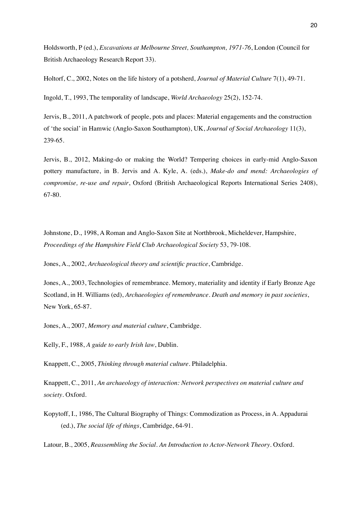Holdsworth, P (ed.), *Excavations at Melbourne Street, Southampton, 1971-76*, London (Council for British Archaeology Research Report 33).

Holtorf, C., 2002, Notes on the life history of a potsherd, *Journal of Material Culture* 7(1), 49-71.

Ingold, T., 1993, The temporality of landscape, *World Archaeology* 25(2), 152-74.

Jervis, B., 2011, A patchwork of people, pots and places: Material engagements and the construction of 'the social' in Hamwic (Anglo-Saxon Southampton), UK, *Journal of Social Archaeology* 11(3), 239-65.

Jervis, B., 2012, Making-do or making the World? Tempering choices in early-mid Anglo-Saxon pottery manufacture, in B. Jervis and A. Kyle, A. (eds.), *Make-do and mend: Archaeologies of compromise, re-use and repair*, Oxford (British Archaeological Reports International Series 2408), 67-80.

Johnstone, D., 1998, A Roman and Anglo-Saxon Site at Northbrook, Micheldever, Hampshire, *Proceedings of the Hampshire Field Club Archaeological Society* 53, 79-108.

Jones, A., 2002, *Archaeological theory and scientific practice*, Cambridge.

Jones, A., 2003, Technologies of remembrance. Memory, materiality and identity if Early Bronze Age Scotland, in H. Williams (ed), *Archaeologies of remembrance. Death and memory in past societies*, New York, 65-87.

Jones, A., 2007, *Memory and material culture*, Cambridge.

Kelly, F., 1988, *A guide to early Irish law*, Dublin.

Knappett, C., 2005, *Thinking through material culture*. Philadelphia.

Knappett, C., 2011, *An archaeology of interaction: Network perspectives on material culture and society*. Oxford.

Kopytoff, I., 1986, The Cultural Biography of Things: Commodization as Process, in A. Appadurai (ed.), *The social life of things*, Cambridge, 64-91.

Latour, B., 2005, *Reassembling the Social. An Introduction to Actor-Network Theory*. Oxford.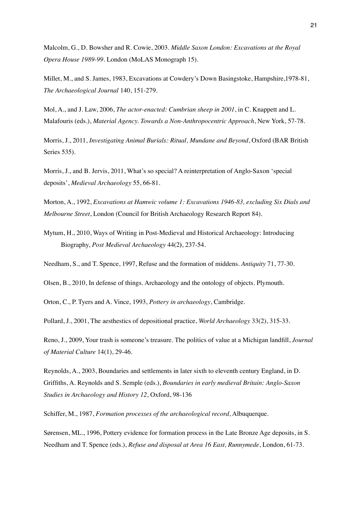Malcolm, G., D. Bowsher and R. Cowie, 2003. *Middle Saxon London: Excavations at the Royal Opera House 1989-99*. London (MoLAS Monograph 15).

Millet, M., and S. James, 1983, Excavations at Cowderyís Down Basingstoke, Hampshire,1978-81, *The Archaeological Journal* 140, 151-279.

Mol, A., and J. Law, 2006, *The actor-enacted: Cumbrian sheep in 2001*, in C. Knappett and L. Malafouris (eds.), *Material Agency. Towards a Non-Anthropocentric Approach*, New York, 57-78.

Morris, J., 2011, *Investigating Animal Burials: Ritual, Mundane and Beyond*, Oxford (BAR British Series 535).

Morris, J., and B. Jervis, 2011, What's so special? A reinterpretation of Anglo-Saxon 'special deposits', *Medieval Archaeology* 55, 66-81.

Morton, A., 1992, *Excavations at Hamwic volume 1: Excavations 1946-83, excluding Six Dials and Melbourne Street*, London (Council for British Archaeology Research Report 84).

Mytum, H., 2010, Ways of Writing in Post-Medieval and Historical Archaeology: Introducing Biography, *Post Medieval Archaeology* 44(2**)**, 237-54.

Needham, S., and T. Spence, 1997, Refuse and the formation of middens. *Antiquity* 71, 77-30.

Olsen, B., 2010, In defense of things. Archaeology and the ontology of objects. Plymouth.

Orton, C., P. Tyers and A. Vince, 1993, *Pottery in archaeology*, Cambridge.

Pollard, J., 2001, The aesthestics of depositional practice, *World Archaeology* 33(2), 315-33.

Reno, J., 2009, Your trash is someone's treasure. The politics of value at a Michigan landfill, *Journal of Material Culture* 14(1), 29-46.

Reynolds, A., 2003, Boundaries and settlements in later sixth to eleventh century England, in D. Griffiths, A. Reynolds and S. Semple (eds.), *Boundaries in early medieval Britain: Anglo-Saxon Studies in Archaeology and History 12*, Oxford, 98-136

Schiffer, M., 1987, *Formation processes of the archaeological record*, Albuquerque.

Sørensen, ML., 1996, Pottery evidence for formation process in the Late Bronze Age deposits, in S. Needham and T. Spence (eds.), *Refuse and disposal at Area 16 East, Runnymede*, London, 61-73.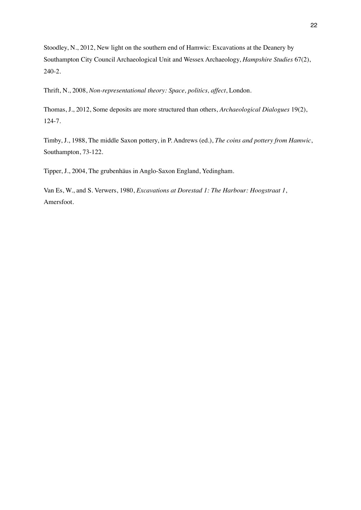Stoodley, N., 2012, New light on the southern end of Hamwic: Excavations at the Deanery by Southampton City Council Archaeological Unit and Wessex Archaeology, *Hampshire Studies* 67(2), 240-2.

Thrift, N., 2008, *Non-representational theory: Space, politics, affect*, London.

Thomas, J., 2012, Some deposits are more structured than others, *Archaeological Dialogues* 19(2), 124-7.

Timby, J., 1988, The middle Saxon pottery, in P. Andrews (ed.), *The coins and pottery from Hamwic*, Southampton, 73-122.

Tipper, J., 2004, The grubenhäus in Anglo-Saxon England, Yedingham.

Van Es, W., and S. Verwers, 1980, *Excavations at Dorestad 1: The Harbour: Hoogstraat 1*, Amersfoot.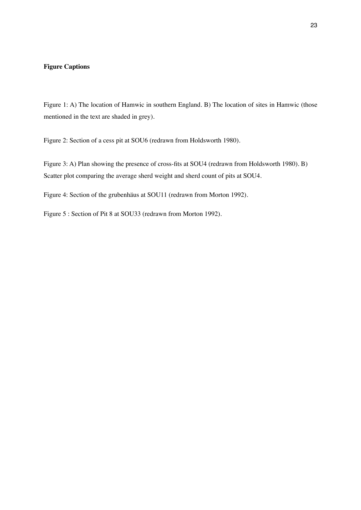## **Figure Captions**

Figure 1: A) The location of Hamwic in southern England. B) The location of sites in Hamwic (those mentioned in the text are shaded in grey).

Figure 2: Section of a cess pit at SOU6 (redrawn from Holdsworth 1980).

Figure 3: A) Plan showing the presence of cross-fits at SOU4 (redrawn from Holdsworth 1980). B) Scatter plot comparing the average sherd weight and sherd count of pits at SOU4.

Figure 4: Section of the grubenhäus at SOU11 (redrawn from Morton 1992).

Figure 5 : Section of Pit 8 at SOU33 (redrawn from Morton 1992).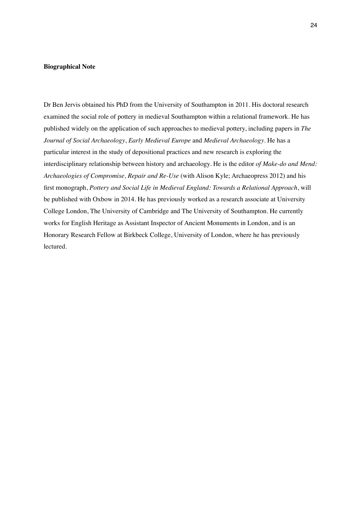#### **Biographical Note**

Dr Ben Jervis obtained his PhD from the University of Southampton in 2011. His doctoral research examined the social role of pottery in medieval Southampton within a relational framework. He has published widely on the application of such approaches to medieval pottery, including papers in *The Journal of Social Archaeology*, *Early Medieval Europe* and *Medieval Archaeology*. He has a particular interest in the study of depositional practices and new research is exploring the interdisciplinary relationship between history and archaeology. He is the editor *of Make-do and Mend: Archaeologies of Compromise, Repair and Re-Use* (with Alison Kyle; Archaeopress 2012) and his Ærst monograph, *Pottery and Social Life in Medieval England: Towards a Relational Approach*, will be published with Oxbow in 2014. He has previously worked as a research associate at University College London, The University of Cambridge and The University of Southampton. He currently works for English Heritage as Assistant Inspector of Ancient Monuments in London, and is an Honorary Research Fellow at Birkbeck College, University of London, where he has previously lectured.